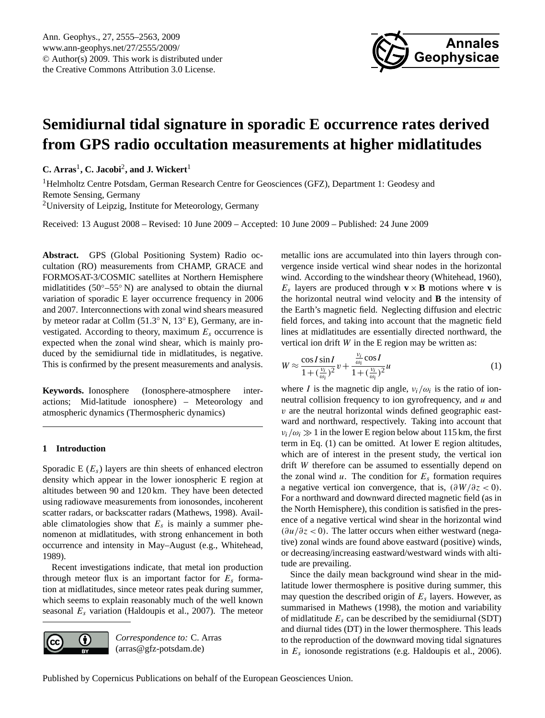

# <span id="page-0-1"></span>**Semidiurnal tidal signature in sporadic E occurrence rates derived from GPS radio occultation measurements at higher midlatitudes**

**C.** Arras<sup>1</sup>, **C.** Jacobi<sup>2</sup>, and J. Wickert<sup>1</sup>

<sup>1</sup>Helmholtz Centre Potsdam, German Research Centre for Geosciences (GFZ), Department 1: Geodesy and Remote Sensing, Germany <sup>2</sup>University of Leipzig, Institute for Meteorology, Germany

Received: 13 August 2008 – Revised: 10 June 2009 – Accepted: 10 June 2009 – Published: 24 June 2009

**Abstract.** GPS (Global Positioning System) Radio occultation (RO) measurements from CHAMP, GRACE and FORMOSAT-3/COSMIC satellites at Northern Hemisphere midlatitides  $(50^{\circ}-55^{\circ} N)$  are analysed to obtain the diurnal variation of sporadic E layer occurrence frequency in 2006 and 2007. Interconnections with zonal wind shears measured by meteor radar at Collm (51.3◦ N, 13◦ E), Germany, are investigated. According to theory, maximum  $E_s$  occurrence is expected when the zonal wind shear, which is mainly produced by the semidiurnal tide in midlatitudes, is negative. This is confirmed by the present measurements and analysis.

**Keywords.** Ionosphere (Ionosphere-atmosphere interactions; Mid-latitude ionosphere) – Meteorology and atmospheric dynamics (Thermospheric dynamics)

## **1 Introduction**

Sporadic E  $(E_s)$  layers are thin sheets of enhanced electron density which appear in the lower ionospheric E region at altitudes between 90 and 120 km. They have been detected using radiowave measurements from ionosondes, incoherent scatter radars, or backscatter radars [\(Mathews,](#page-7-0) [1998\)](#page-7-0). Available climatologies show that  $E_s$  is mainly a summer phenomenon at midlatitudes, with strong enhancement in both occurrence and intensity in May–August (e.g., [Whitehead,](#page-7-1) [1989\)](#page-7-1).

Recent investigations indicate, that metal ion production through meteor flux is an important factor for  $E_s$  formation at midlatitudes, since meteor rates peak during summer, which seems to explain reasonably much of the well known seasonal  $E_s$  variation [\(Haldoupis et al.,](#page-7-2) [2007\)](#page-7-2). The meteor



*Correspondence to:* C. Arras (arras@gfz-potsdam.de)

metallic ions are accumulated into thin layers through convergence inside vertical wind shear nodes in the horizontal wind. According to the windshear theory [\(Whitehead,](#page-8-0) [1960\)](#page-8-0),  $E_s$  layers are produced through  $\mathbf{v} \times \mathbf{B}$  motions where **v** is the horizontal neutral wind velocity and **B** the intensity of the Earth's magnetic field. Neglecting diffusion and electric field forces, and taking into account that the magnetic field lines at midlatitudes are essentially directed northward, the vertical ion drift  $W$  in the E region may be written as:

<span id="page-0-0"></span>
$$
W \approx \frac{\cos I \sin I}{1 + (\frac{v_i}{\omega_i})^2} v + \frac{\frac{v_i}{\omega_i} \cos I}{1 + (\frac{v_i}{\omega_i})^2} u \tag{1}
$$

where *I* is the magnetic dip angle,  $v_i/\omega_i$  is the ratio of ionneutral collision frequency to ion gyrofrequency, and  $u$  and v are the neutral horizontal winds defined geographic eastward and northward, respectively. Taking into account that  $v_i/\omega_i \gg 1$  in the lower E region below about 115 km, the first term in Eq. [\(1\)](#page-0-0) can be omitted. At lower E region altitudes, which are of interest in the present study, the vertical ion drift W therefore can be assumed to essentially depend on the zonal wind  $u$ . The condition for  $E_s$  formation requires a negative vertical ion convergence, that is,  $(\partial W/\partial z < 0)$ . For a northward and downward directed magnetic field (as in the North Hemisphere), this condition is satisfied in the presence of a negative vertical wind shear in the horizontal wind  $(\partial u/\partial z < 0)$ . The latter occurs when either westward (negative) zonal winds are found above eastward (positive) winds, or decreasing/increasing eastward/westward winds with altitude are prevailing.

Since the daily mean background wind shear in the midlatitude lower thermosphere is positive during summer, this may question the described origin of  $E_s$  layers. However, as summarised in [Mathews](#page-7-0) [\(1998\)](#page-7-0), the motion and variability of midlatitude  $E_s$  can be described by the semidiurnal (SDT) and diurnal tides (DT) in the lower thermosphere. This leads to the reproduction of the downward moving tidal signatures in  $E_s$  ionosonde registrations (e.g. [Haldoupis et al.,](#page-7-3) [2006\)](#page-7-3).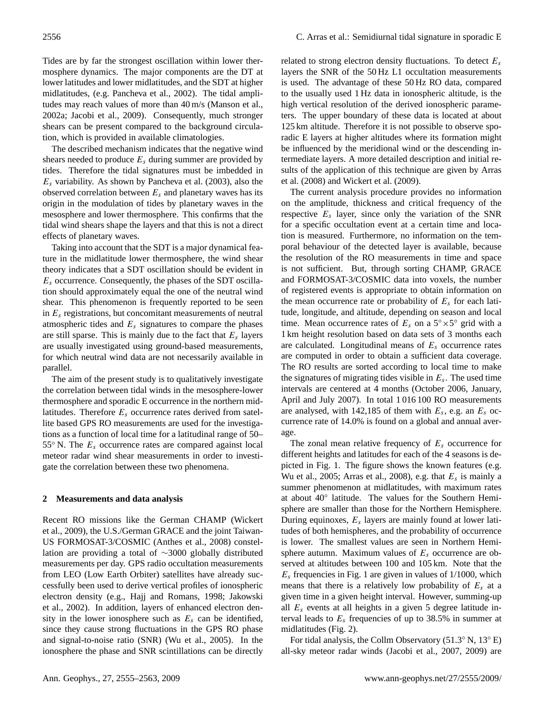Tides are by far the strongest oscillation within lower thermosphere dynamics. The major components are the DT at lower latitudes and lower midlatitudes, and the SDT at higher midlatitudes, (e.g. [Pancheva et al.,](#page-7-4) [2002\)](#page-7-4). The tidal amplitudes may reach values of more than 40 m/s [\(Manson et al.,](#page-7-5) [2002a;](#page-7-5) [Jacobi et al.,](#page-7-6) [2009\)](#page-7-6). Consequently, much stronger shears can be present compared to the background circulation, which is provided in available climatologies.

The described mechanism indicates that the negative wind shears needed to produce  $E_s$  during summer are provided by tides. Therefore the tidal signatures must be imbedded in  $E_s$  variability. As shown by [Pancheva et al.](#page-7-7) [\(2003\)](#page-7-7), also the observed correlation between  $E_s$  and planetary waves has its origin in the modulation of tides by planetary waves in the mesosphere and lower thermosphere. This confirms that the tidal wind shears shape the layers and that this is not a direct effects of planetary waves.

Taking into account that the SDT is a major dynamical feature in the midlatitude lower thermosphere, the wind shear theory indicates that a SDT oscillation should be evident in  $E_s$  occurrence. Consequently, the phases of the SDT oscillation should approximately equal the one of the neutral wind shear. This phenomenon is frequently reported to be seen in  $E_s$  registrations, but concomitant measurements of neutral atmospheric tides and  $E_s$  signatures to compare the phases are still sparse. This is mainly due to the fact that  $E_s$  layers are usually investigated using ground-based measurements, for which neutral wind data are not necessarily available in parallel.

The aim of the present study is to qualitatively investigate the correlation between tidal winds in the mesosphere-lower thermosphere and sporadic E occurrence in the northern midlatitudes. Therefore  $E_s$  occurrence rates derived from satellite based GPS RO measurements are used for the investigations as a function of local time for a latitudinal range of 50– 55 $\degree$  N. The  $E_s$  occurrence rates are compared against local meteor radar wind shear measurements in order to investigate the correlation between these two phenomena.

#### **2 Measurements and data analysis**

Recent RO missions like the German CHAMP [\(Wickert](#page-8-1) [et al.,](#page-8-1) [2009\)](#page-8-1), the U.S./German GRACE and the joint Taiwan-US FORMOSAT-3/COSMIC [\(Anthes et al.,](#page-7-8) [2008\)](#page-7-8) constellation are providing a total of ∼3000 globally distributed measurements per day. GPS radio occultation measurements from LEO (Low Earth Orbiter) satellites have already successfully been used to derive vertical profiles of ionospheric electron density (e.g., [Hajj and Romans,](#page-7-9) [1998;](#page-7-9) [Jakowski](#page-7-10) [et al.,](#page-7-10) [2002\)](#page-7-10). In addition, layers of enhanced electron density in the lower ionosphere such as  $E_s$  can be identified, since they cause strong fluctuations in the GPS RO phase and signal-to-noise ratio (SNR) [\(Wu et al.,](#page-8-2) [2005\)](#page-8-2). In the ionosphere the phase and SNR scintillations can be directly related to strong electron density fluctuations. To detect  $E_s$ layers the SNR of the 50 Hz L1 occultation measurements is used. The advantage of these 50 Hz RO data, compared to the usually used 1 Hz data in ionospheric altitude, is the high vertical resolution of the derived ionospheric parameters. The upper boundary of these data is located at about 125 km altitude. Therefore it is not possible to observe sporadic E layers at higher altitudes where its formation might be influenced by the meridional wind or the descending intermediate layers. A more detailed description and initial results of the application of this technique are given by [Arras](#page-7-11) [et al.](#page-7-11) [\(2008\)](#page-7-11) and [Wickert et al.](#page-8-1) [\(2009\)](#page-8-1).

The current analysis procedure provides no information on the amplitude, thickness and critical frequency of the respective  $E_s$  layer, since only the variation of the SNR for a specific occultation event at a certain time and location is measured. Furthermore, no information on the temporal behaviour of the detected layer is available, because the resolution of the RO measurements in time and space is not sufficient. But, through sorting CHAMP, GRACE and FORMOSAT-3/COSMIC data into voxels, the number of registered events is appropriate to obtain information on the mean occurrence rate or probability of  $E_s$  for each latitude, longitude, and altitude, depending on season and local time. Mean occurrence rates of  $E_s$  on a 5° × 5° grid with a 1 km height resolution based on data sets of 3 months each are calculated. Longitudinal means of  $E_s$  occurrence rates are computed in order to obtain a sufficient data coverage. The RO results are sorted according to local time to make the signatures of migrating tides visible in  $E_s$ . The used time intervals are centered at 4 months (October 2006, January, April and July 2007). In total 1 016 100 RO measurements are analysed, with 142,185 of them with  $E_s$ , e.g. an  $E_s$  occurrence rate of 14.0% is found on a global and annual average.

The zonal mean relative frequency of  $E_s$  occurrence for different heights and latitudes for each of the 4 seasons is depicted in Fig. [1.](#page-2-0) The figure shows the known features (e.g. [Wu et al.,](#page-8-2) [2005;](#page-8-2) [Arras et al.,](#page-7-11) [2008\)](#page-7-11), e.g. that  $E_s$  is mainly a summer phenomenon at midlatitudes, with maximum rates at about 40◦ latitude. The values for the Southern Hemisphere are smaller than those for the Northern Hemisphere. During equinoxes,  $E_s$  layers are mainly found at lower latitudes of both hemispheres, and the probability of occurrence is lower. The smallest values are seen in Northern Hemisphere autumn. Maximum values of  $E_s$  occurrence are observed at altitudes between 100 and 105 km. Note that the  $E_s$  frequencies in Fig. [1](#page-2-0) are given in values of  $1/1000$ , which means that there is a relatively low probability of  $E_s$  at a given time in a given height interval. However, summing-up all  $E_s$  events at all heights in a given 5 degree latitude interval leads to  $E_s$  frequencies of up to 38.5% in summer at midlatitudes (Fig. [2\)](#page-2-1).

For tidal analysis, the Collm Observatory (51.3◦ N, 13◦ E) all-sky meteor radar winds [\(Jacobi et al.,](#page-7-12) [2007,](#page-7-12) [2009\)](#page-7-6) are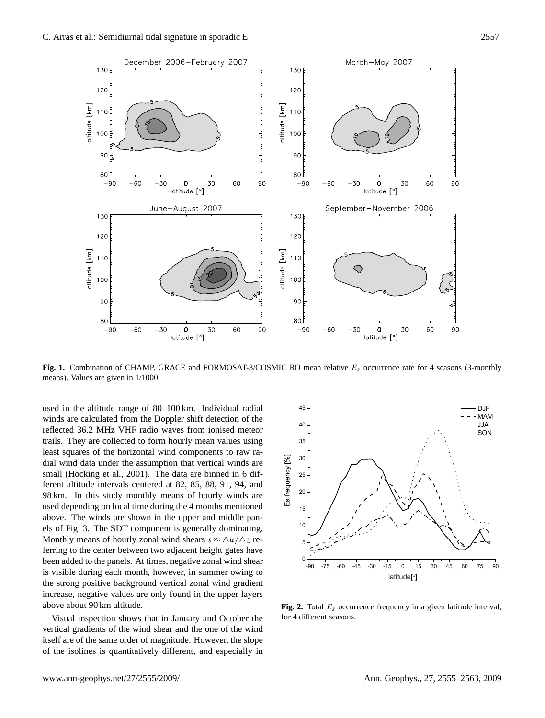

<span id="page-2-0"></span>**Fig. 1.** Combination of CHAMP, GRACE and FORMOSAT-3/COSMIC RO mean relative  $E_s$  occurrence rate for 4 seasons (3-monthly means). Values are given in 1/1000.

used in the altitude range of 80–100 km. Individual radial winds are calculated from the Doppler shift detection of the reflected 36.2 MHz VHF radio waves from ionised meteor trails. They are collected to form hourly mean values using least squares of the horizontal wind components to raw radial wind data under the assumption that vertical winds are small [\(Hocking et al.,](#page-7-13) [2001\)](#page-7-13). The data are binned in 6 different altitude intervals centered at 82, 85, 88, 91, 94, and 98 km. In this study monthly means of hourly winds are used depending on local time during the 4 months mentioned above. The winds are shown in the upper and middle panels of Fig. [3.](#page-3-0) The SDT component is generally dominating. Monthly means of hourly zonal wind shears  $s \approx \Delta u / \Delta z$  referring to the center between two adjacent height gates have been added to the panels. At times, negative zonal wind shear is visible during each month, however, in summer owing to the strong positive background vertical zonal wind gradient increase, negative values are only found in the upper layers above about 90 km altitude.

Visual inspection shows that in January and October the vertical gradients of the wind shear and the one of the wind itself are of the same order of magnitude. However, the slope of the isolines is quantitatively different, and especially in



<span id="page-2-1"></span>**Fig. 2.** Total  $E_s$  occurrence frequency in a given latitude interval, for 4 different seasons.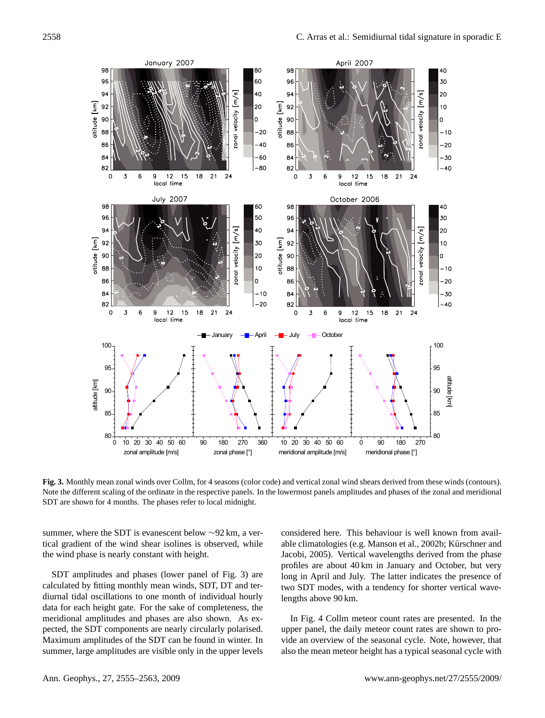

<span id="page-3-0"></span>**Fig. 3.** Monthly mean zonal winds over Collm, for 4 seasons (color code) and vertical zonal wind shears derived from these winds (contours). Note the different scaling of the ordinate in the respective panels. In the lowermost panels amplitudes and phases of the zonal and meridional SDT are shown for 4 months. The phases refer to local midnight.

summer, where the SDT is evanescent below ∼92 km, a vertical gradient of the wind shear isolines is observed, while the wind phase is nearly constant with height.

SDT amplitudes and phases (lower panel of Fig. [3\)](#page-3-0) are calculated by fitting monthly mean winds, SDT, DT and terdiurnal tidal oscillations to one month of individual hourly data for each height gate. For the sake of completeness, the meridional amplitudes and phases are also shown. As expected, the SDT components are nearly circularly polarised. Maximum amplitudes of the SDT can be found in winter. In summer, large amplitudes are visible only in the upper levels considered here. This behaviour is well known from avail-able climatologies (e.g. [Manson et al.,](#page-7-14) [2002b;](#page-7-14) Kürschner and [Jacobi,](#page-7-15) [2005\)](#page-7-15). Vertical wavelengths derived from the phase profiles are about 40 km in January and October, but very long in April and July. The latter indicates the presence of two SDT modes, with a tendency for shorter vertical wavelengths above 90 km.

In Fig. [4](#page-4-0) Collm meteor count rates are presented. In the upper panel, the daily meteor count rates are shown to provide an overview of the seasonal cycle. Note, however, that also the mean meteor height has a typical seasonal cycle with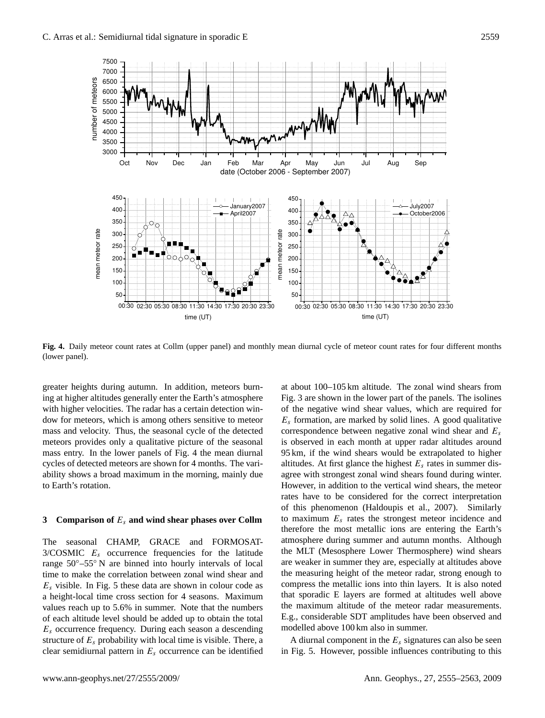

<span id="page-4-0"></span>**Fig. 4.** Daily meteor count rates at Collm (upper panel) and monthly mean diurnal cycle of meteor count rates for four different months (lower panel).

greater heights during autumn. In addition, meteors burning at higher altitudes generally enter the Earth's atmosphere with higher velocities. The radar has a certain detection window for meteors, which is among others sensitive to meteor mass and velocity. Thus, the seasonal cycle of the detected meteors provides only a qualitative picture of the seasonal mass entry. In the lower panels of Fig. [4](#page-4-0) the mean diurnal cycles of detected meteors are shown for 4 months. The variability shows a broad maximum in the morning, mainly due to Earth's rotation.

## **3 Comparison of** E<sup>s</sup> **and wind shear phases over Collm**

The seasonal CHAMP, GRACE and FORMOSAT- $3/COSMIC E<sub>s</sub>$  occurrence frequencies for the latitude range 50◦–55◦ N are binned into hourly intervals of local time to make the correlation between zonal wind shear and  $E<sub>s</sub>$  visible. In Fig. [5](#page-5-0) these data are shown in colour code as a height-local time cross section for 4 seasons. Maximum values reach up to 5.6% in summer. Note that the numbers of each altitude level should be added up to obtain the total  $E_s$  occurrence frequency. During each season a descending structure of  $E<sub>s</sub>$  probability with local time is visible. There, a clear semidiurnal pattern in  $E_s$  occurrence can be identified at about 100–105 km altitude. The zonal wind shears from Fig. [3](#page-3-0) are shown in the lower part of the panels. The isolines of the negative wind shear values, which are required for  $E_s$  formation, are marked by solid lines. A good qualitative correspondence between negative zonal wind shear and  $E_s$ is observed in each month at upper radar altitudes around 95 km, if the wind shears would be extrapolated to higher altitudes. At first glance the highest  $E_s$  rates in summer disagree with strongest zonal wind shears found during winter. However, in addition to the vertical wind shears, the meteor rates have to be considered for the correct interpretation of this phenomenon [\(Haldoupis et al.,](#page-7-2) [2007\)](#page-7-2). Similarly to maximum  $E_s$  rates the strongest meteor incidence and therefore the most metallic ions are entering the Earth's atmosphere during summer and autumn months. Although the MLT (Mesosphere Lower Thermosphere) wind shears are weaker in summer they are, especially at altitudes above the measuring height of the meteor radar, strong enough to compress the metallic ions into thin layers. It is also noted that sporadic E layers are formed at altitudes well above the maximum altitude of the meteor radar measurements. E.g., considerable SDT amplitudes have been observed and modelled above 100 km also in summer.

A diurnal component in the  $E_s$  signatures can also be seen in Fig. [5.](#page-5-0) However, possible influences contributing to this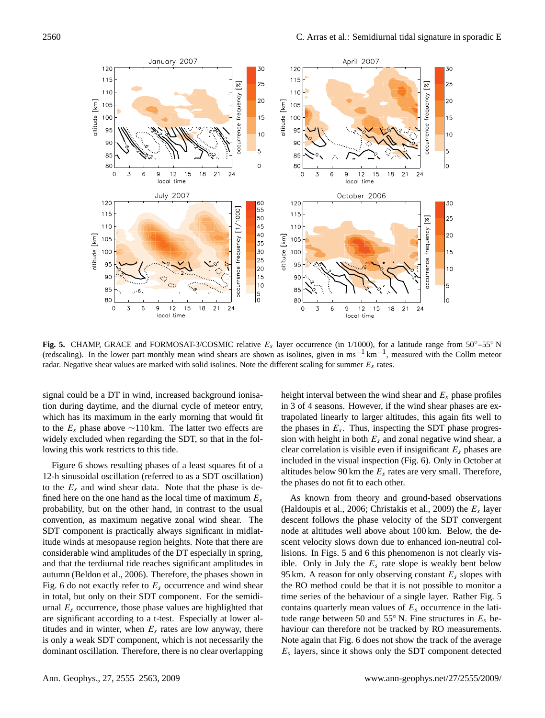

<span id="page-5-0"></span>**Fig. 5.** CHAMP, GRACE and FORMOSAT-3/COSMIC relative  $E_s$  layer occurrence (in 1/1000), for a latitude range from 50°–55° N (redscaling). In the lower part monthly mean wind shears are shown as isolines, given in ms<sup>-1</sup> km<sup>-1</sup>, measured with the Collm meteor radar. Negative shear values are marked with solid isolines. Note the different scaling for summer  $E_s$  rates.

signal could be a DT in wind, increased background ionisation during daytime, and the diurnal cycle of meteor entry, which has its maximum in the early morning that would fit to the  $E_s$  phase above ∼110 km. The latter two effects are widely excluded when regarding the SDT, so that in the following this work restricts to this tide.

Figure [6](#page-6-0) shows resulting phases of a least squares fit of a 12-h sinusoidal oscillation (referred to as a SDT oscillation) to the  $E_s$  and wind shear data. Note that the phase is defined here on the one hand as the local time of maximum  $E_s$ probability, but on the other hand, in contrast to the usual convention, as maximum negative zonal wind shear. The SDT component is practically always significant in midlatitude winds at mesopause region heights. Note that there are considerable wind amplitudes of the DT especially in spring, and that the terdiurnal tide reaches significant amplitudes in autumn [\(Beldon et al.,](#page-7-16) [2006\)](#page-7-16). Therefore, the phases shown in Fig. [6](#page-6-0) do not exactly refer to  $E_s$  occurrence and wind shear in total, but only on their SDT component. For the semidiurnal  $E_s$  occurrence, those phase values are highlighted that are significant according to a t-test. Especially at lower altitudes and in winter, when  $E_s$  rates are low anyway, there is only a weak SDT component, which is not necessarily the dominant oscillation. Therefore, there is no clear overlapping height interval between the wind shear and  $E_s$  phase profiles in 3 of 4 seasons. However, if the wind shear phases are extrapolated linearly to larger altitudes, this again fits well to the phases in  $E_s$ . Thus, inspecting the SDT phase progression with height in both  $E_s$  and zonal negative wind shear, a clear correlation is visible even if insignificant  $E_s$  phases are included in the visual inspection (Fig. [6\)](#page-6-0). Only in October at altitudes below 90 km the  $E_s$  rates are very small. Therefore, the phases do not fit to each other.

As known from theory and ground-based observations [\(Haldoupis et al.,](#page-7-3) [2006;](#page-7-3) [Christakis et al.,](#page-7-17) [2009\)](#page-7-17) the  $E_s$  layer descent follows the phase velocity of the SDT convergent node at altitudes well above about 100 km. Below, the descent velocity slows down due to enhanced ion-neutral collisions. In Figs. [5](#page-5-0) and [6](#page-6-0) this phenomenon is not clearly visible. Only in July the  $E_s$  rate slope is weakly bent below 95 km. A reason for only observing constant  $E_s$  slopes with the RO method could be that it is not possible to monitor a time series of the behaviour of a single layer. Rather Fig. [5](#page-5-0) contains quarterly mean values of  $E_s$  occurrence in the latitude range between 50 and 55 $\degree$  N. Fine structures in  $E_s$  behaviour can therefore not be tracked by RO measurements. Note again that Fig. [6](#page-6-0) does not show the track of the average  $E_s$  layers, since it shows only the SDT component detected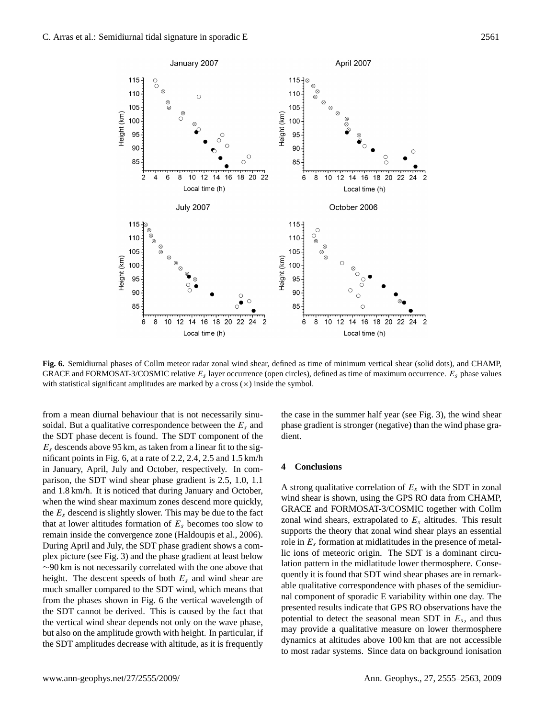

<span id="page-6-0"></span>**Fig. 6.** Semidiurnal phases of Collm meteor radar zonal wind shear, defined as time of minimum vertical shear (solid dots), and CHAMP, GRACE and FORMOSAT-3/COSMIC relative  $E_s$  layer occurrence (open circles), defined as time of maximum occurrence.  $E_s$  phase values with statistical significant amplitudes are marked by a cross  $(\times)$  inside the symbol.

from a mean diurnal behaviour that is not necessarily sinusoidal. But a qualitative correspondence between the  $E_s$  and the SDT phase decent is found. The SDT component of the  $E_s$  descends above 95 km, as taken from a linear fit to the significant points in Fig. [6,](#page-6-0) at a rate of 2.2, 2.4, 2.5 and 1.5 km/h in January, April, July and October, respectively. In comparison, the SDT wind shear phase gradient is 2.5, 1.0, 1.1 and 1.8 km/h. It is noticed that during January and October, when the wind shear maximum zones descend more quickly, the  $E_s$  descend is slightly slower. This may be due to the fact that at lower altitudes formation of  $E_s$  becomes too slow to remain inside the convergence zone [\(Haldoupis et al.,](#page-7-3) [2006\)](#page-7-3). During April and July, the SDT phase gradient shows a complex picture (see Fig. [3\)](#page-3-0) and the phase gradient at least below ∼90 km is not necessarily correlated with the one above that height. The descent speeds of both  $E_s$  and wind shear are much smaller compared to the SDT wind, which means that from the phases shown in Fig. [6](#page-6-0) the vertical wavelength of the SDT cannot be derived. This is caused by the fact that the vertical wind shear depends not only on the wave phase, but also on the amplitude growth with height. In particular, if the SDT amplitudes decrease with altitude, as it is frequently the case in the summer half year (see Fig. [3\)](#page-3-0), the wind shear phase gradient is stronger (negative) than the wind phase gradient.

### **4 Conclusions**

A strong qualitative correlation of  $E_s$  with the SDT in zonal wind shear is shown, using the GPS RO data from CHAMP, GRACE and FORMOSAT-3/COSMIC together with Collm zonal wind shears, extrapolated to  $E_s$  altitudes. This result supports the theory that zonal wind shear plays an essential role in  $E_s$  formation at midlatitudes in the presence of metallic ions of meteoric origin. The SDT is a dominant circulation pattern in the midlatitude lower thermosphere. Consequently it is found that SDT wind shear phases are in remarkable qualitative correspondence with phases of the semidiurnal component of sporadic E variability within one day. The presented results indicate that GPS RO observations have the potential to detect the seasonal mean SDT in  $E_s$ , and thus may provide a qualitative measure on lower thermosphere dynamics at altitudes above 100 km that are not accessible to most radar systems. Since data on background ionisation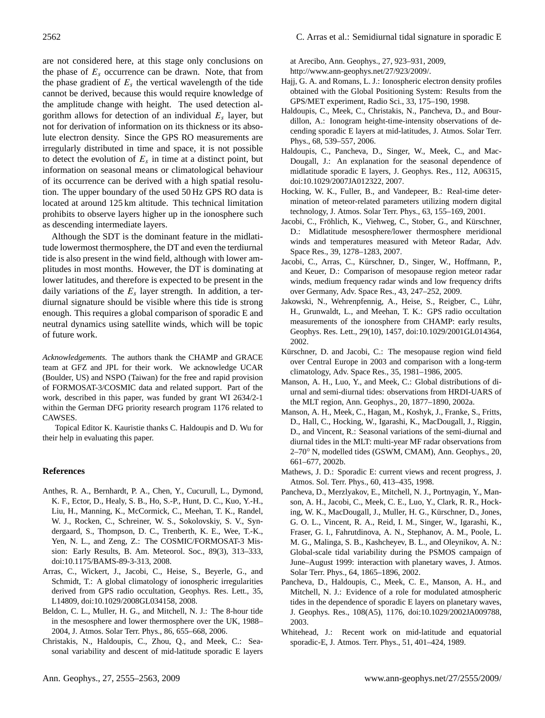are not considered here, at this stage only conclusions on the phase of  $E_s$  occurrence can be drawn. Note, that from the phase gradient of  $E_s$  the vertical wavelength of the tide cannot be derived, because this would require knowledge of the amplitude change with height. The used detection algorithm allows for detection of an individual  $E_s$  layer, but not for derivation of information on its thickness or its absolute electron density. Since the GPS RO measurements are irregularly distributed in time and space, it is not possible to detect the evolution of  $E_s$  in time at a distinct point, but information on seasonal means or climatological behaviour of its occurrence can be derived with a high spatial resolution. The upper boundary of the used 50 Hz GPS RO data is located at around 125 km altitude. This technical limitation prohibits to observe layers higher up in the ionosphere such as descending intermediate layers.

Although the SDT is the dominant feature in the midlatitude lowermost thermosphere, the DT and even the terdiurnal tide is also present in the wind field, although with lower amplitudes in most months. However, the DT is dominating at lower latitudes, and therefore is expected to be present in the daily variations of the  $E_s$  layer strength. In addition, a terdiurnal signature should be visible where this tide is strong enough. This requires a global comparison of sporadic E and neutral dynamics using satellite winds, which will be topic of future work.

*Acknowledgements.* The authors thank the CHAMP and GRACE team at GFZ and JPL for their work. We acknowledge UCAR (Boulder, US) and NSPO (Taiwan) for the free and rapid provision of FORMOSAT-3/COSMIC data and related support. Part of the work, described in this paper, was funded by grant WI 2634/2-1 within the German DFG priority research program 1176 related to CAWSES.

Topical Editor K. Kauristie thanks C. Haldoupis and D. Wu for their help in evaluating this paper.

#### **References**

- <span id="page-7-8"></span>Anthes, R. A., Bernhardt, P. A., Chen, Y., Cucurull, L., Dymond, K. F., Ector, D., Healy, S. B., Ho, S.-P., Hunt, D. C., Kuo, Y.-H., Liu, H., Manning, K., McCormick, C., Meehan, T. K., Randel, W. J., Rocken, C., Schreiner, W. S., Sokolovskiy, S. V., Syndergaard, S., Thompson, D. C., Trenberth, K. E., Wee, T.-K., Yen, N. L., and Zeng, Z.: The COSMIC/FORMOSAT-3 Mission: Early Results, B. Am. Meteorol. Soc., 89(3), 313–333, doi:10.1175/BAMS-89-3-313, 2008.
- <span id="page-7-11"></span>Arras, C., Wickert, J., Jacobi, C., Heise, S., Beyerle, G., and Schmidt, T.: A global climatology of ionospheric irregularities derived from GPS radio occultation, Geophys. Res. Lett., 35, L14809, doi:10.1029/2008GL034158, 2008.
- <span id="page-7-16"></span>Beldon, C. L., Muller, H. G., and Mitchell, N. J.: The 8-hour tide in the mesosphere and lower thermosphere over the UK, 1988– 2004, J. Atmos. Solar Terr. Phys., 86, 655–668, 2006.
- <span id="page-7-17"></span>Christakis, N., Haldoupis, C., Zhou, Q., and Meek, C.: Seasonal variability and descent of mid-latitude sporadic E layers

at Arecibo, Ann. Geophys., 27, 923–931, 2009, [http://www.ann-geophys.net/27/923/2009/.](http://www.ann-geophys.net/27/923/2009/)

- <span id="page-7-9"></span>Hajj, G. A. and Romans, L. J.: Ionospheric electron density profiles obtained with the Global Positioning System: Results from the GPS/MET experiment, Radio Sci., 33, 175–190, 1998.
- <span id="page-7-3"></span>Haldoupis, C., Meek, C., Christakis, N., Pancheva, D., and Bourdillon, A.: Ionogram height-time-intensity observations of decending sporadic E layers at mid-latitudes, J. Atmos. Solar Terr. Phys., 68, 539–557, 2006.
- <span id="page-7-2"></span>Haldoupis, C., Pancheva, D., Singer, W., Meek, C., and Mac-Dougall, J.: An explanation for the seasonal dependence of midlatitude sporadic E layers, J. Geophys. Res., 112, A06315, doi:10.1029/2007JA012322, 2007.
- <span id="page-7-13"></span>Hocking, W. K., Fuller, B., and Vandepeer, B.: Real-time determination of meteor-related parameters utilizing modern digital technology, J. Atmos. Solar Terr. Phys., 63, 155–169, 2001.
- <span id="page-7-12"></span>Jacobi, C., Fröhlich, K., Viehweg, C., Stober, G., and Kürschner, D.: Midlatitude mesosphere/lower thermosphere meridional winds and temperatures measured with Meteor Radar, Adv. Space Res., 39, 1278–1283, 2007.
- <span id="page-7-6"></span>Jacobi, C., Arras, C., Kürschner, D., Singer, W., Hoffmann, P., and Keuer, D.: Comparison of mesopause region meteor radar winds, medium frequency radar winds and low frequency drifts over Germany, Adv. Space Res., 43, 247–252, 2009.
- <span id="page-7-10"></span>Jakowski, N., Wehrenpfennig, A., Heise, S., Reigber, C., Lühr, H., Grunwaldt, L., and Meehan, T. K.: GPS radio occultation measurements of the ionosphere from CHAMP: early results, Geophys. Res. Lett., 29(10), 1457, doi:10.1029/2001GL014364, 2002.
- <span id="page-7-15"></span>Kürschner, D. and Jacobi, C.: The mesopause region wind field over Central Europe in 2003 and comparison with a long-term climatology, Adv. Space Res., 35, 1981–1986, 2005.
- <span id="page-7-5"></span>Manson, A. H., Luo, Y., and Meek, C.: Global distributions of diurnal and semi-diurnal tides: observations from HRDI-UARS of the MLT region, Ann. Geophys., 20, 1877–1890, 2002a.
- <span id="page-7-14"></span>Manson, A. H., Meek, C., Hagan, M., Koshyk, J., Franke, S., Fritts, D., Hall, C., Hocking, W., Igarashi, K., MacDougall, J., Riggin, D., and Vincent, R.: Seasonal variations of the semi-diurnal and diurnal tides in the MLT: multi-year MF radar observations from 2–70◦ N, modelled tides (GSWM, CMAM), Ann. Geophys., 20, 661–677, 2002b.
- <span id="page-7-0"></span>Mathews, J. D.: Sporadic E: current views and recent progress, J. Atmos. Sol. Terr. Phys., 60, 413–435, 1998.
- <span id="page-7-4"></span>Pancheva, D., Merzlyakov, E., Mitchell, N. J., Portnyagin, Y., Manson, A. H., Jacobi, C., Meek, C. E., Luo, Y., Clark, R. R., Hocking, W. K., MacDougall, J., Muller, H. G., Kürschner, D., Jones, G. O. L., Vincent, R. A., Reid, I. M., Singer, W., Igarashi, K., Fraser, G. I., Fahrutdinova, A. N., Stephanov, A. M., Poole, L. M. G., Malinga, S. B., Kashcheyev, B. L., and Oleynikov, A. N.: Global-scale tidal variability during the PSMOS campaign of June–August 1999: interaction with planetary waves, J. Atmos. Solar Terr. Phys., 64, 1865–1896, 2002.
- <span id="page-7-7"></span>Pancheva, D., Haldoupis, C., Meek, C. E., Manson, A. H., and Mitchell, N. J.: Evidence of a role for modulated atmospheric tides in the dependence of sporadic E layers on planetary waves, J. Geophys. Res., 108(A5), 1176, doi:10.1029/2002JA009788, 2003.
- <span id="page-7-1"></span>Whitehead, J.: Recent work on mid-latitude and equatorial sporadic-E, J. Atmos. Terr. Phys., 51, 401–424, 1989.